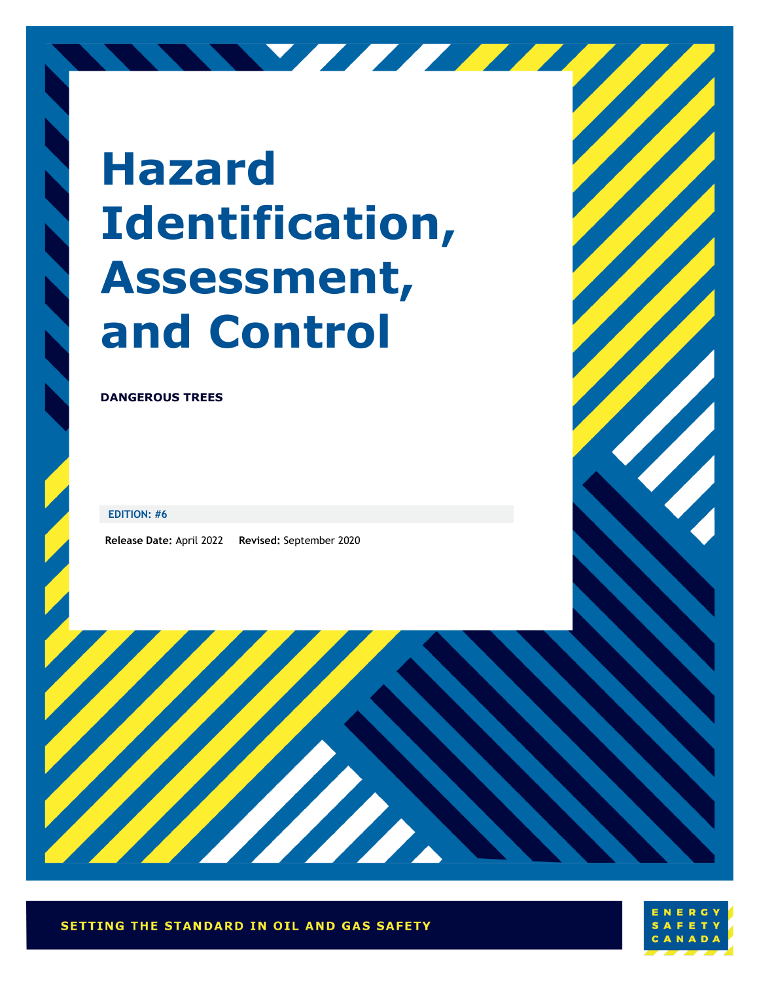# **Hazard Identification, Assessment, and Control**

NY FFFFFF

**DANGEROUS TREES**

**EDITION: #6**

**Release Date:** April 2022 **Revised:** September 2020



Harry Bally

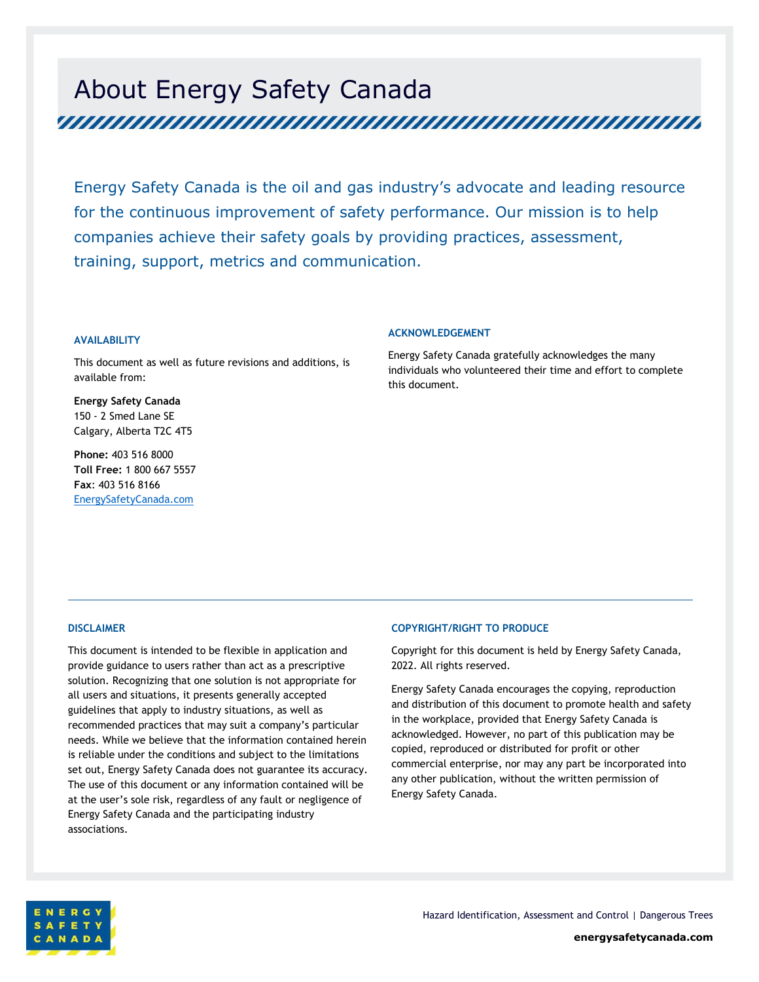# About Energy Safety Canada

Energy Safety Canada is the oil and gas industry's advocate and leading resource for the continuous improvement of safety performance. Our mission is to help companies achieve their safety goals by providing practices, assessment, training, support, metrics and communication.

#### **AVAILABILITY**

This document as well as future revisions and additions, is available from:

**Energy Safety Canada** 150 - 2 Smed Lane SE Calgary, Alberta T2C 4T5

**Phone:** 403 516 8000 **Toll Free:** 1 800 667 5557 **Fax**: 403 516 8166 EnergySafetyCanada.com

#### **ACKNOWLEDGEMENT**

Energy Safety Canada gratefully acknowledges the many individuals who volunteered their time and effort to complete this document.

#### **DISCLAIMER**

This document is intended to be flexible in application and provide guidance to users rather than act as a prescriptive solution. Recognizing that one solution is not appropriate for all users and situations, it presents generally accepted guidelines that apply to industry situations, as well as recommended practices that may suit a company's particular needs. While we believe that the information contained herein is reliable under the conditions and subject to the limitations set out, Energy Safety Canada does not guarantee its accuracy. The use of this document or any information contained will be at the user's sole risk, regardless of any fault or negligence of Energy Safety Canada and the participating industry associations.

#### **COPYRIGHT/RIGHT TO PRODUCE**

Copyright for this document is held by Energy Safety Canada, 2022. All rights reserved.

Energy Safety Canada encourages the copying, reproduction and distribution of this document to promote health and safety in the workplace, provided that Energy Safety Canada is acknowledged. However, no part of this publication may be copied, reproduced or distributed for profit or other commercial enterprise, nor may any part be incorporated into any other publication, without the written permission of Energy Safety Canada.

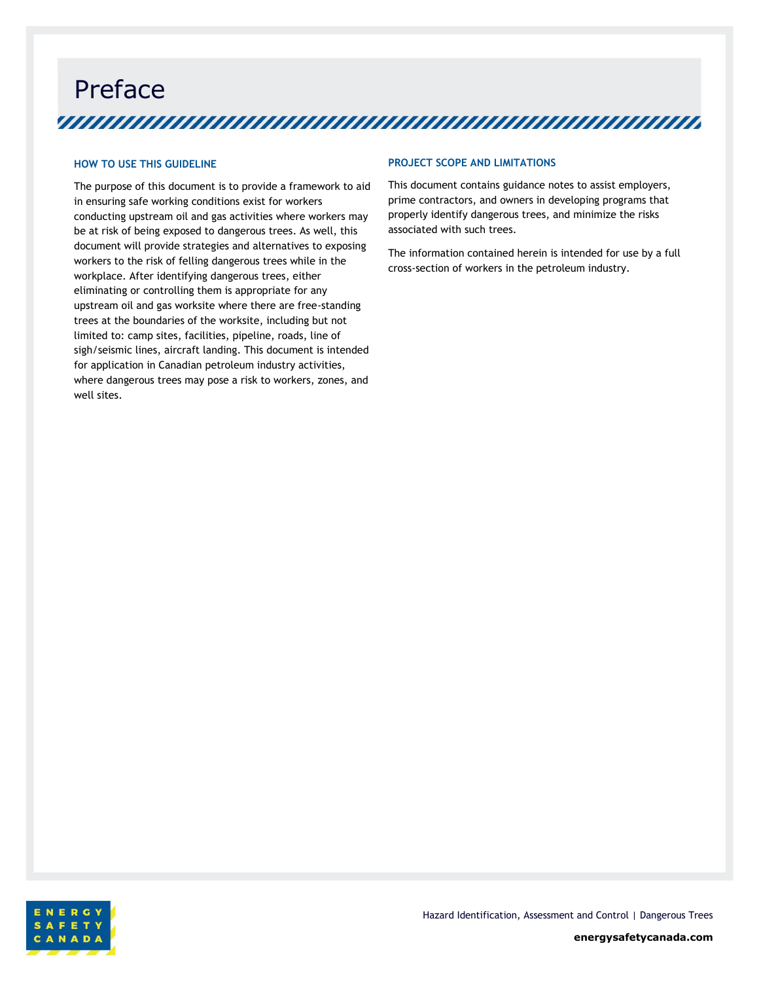Preface 

#### **HOW TO USE THIS GUIDELINE**

The purpose of this document is to provide a framework to aid in ensuring safe working conditions exist for workers conducting upstream oil and gas activities where workers may be at risk of being exposed to dangerous trees. As well, this document will provide strategies and alternatives to exposing workers to the risk of felling dangerous trees while in the workplace. After identifying dangerous trees, either eliminating or controlling them is appropriate for any upstream oil and gas worksite where there are free-standing trees at the boundaries of the worksite, including but not limited to: camp sites, facilities, pipeline, roads, line of sigh/seismic lines, aircraft landing. This document is intended for application in Canadian petroleum industry activities, where dangerous trees may pose a risk to workers, zones, and well sites.

#### **PROJECT SCOPE AND LIMITATIONS**

This document contains guidance notes to assist employers, prime contractors, and owners in developing programs that properly identify dangerous trees, and minimize the risks associated with such trees.

The information contained herein is intended for use by a full cross-section of workers in the petroleum industry.

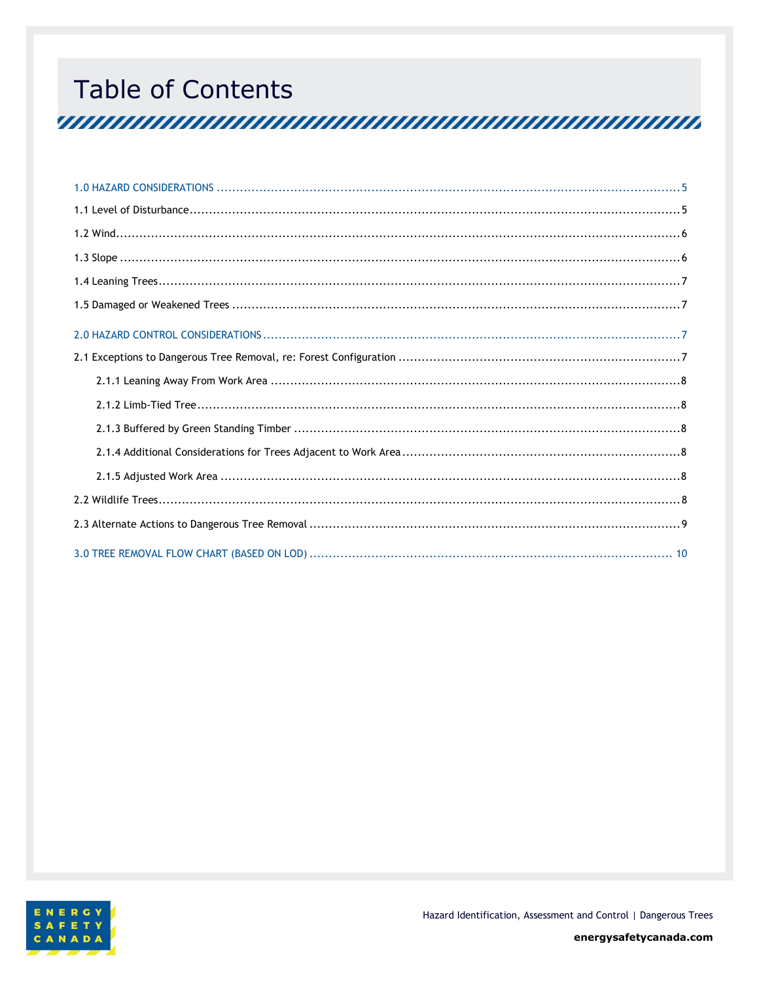# **Table of Contents**

<u>TAN ANAH ANAH ANG MANAH ANG MANAH ANG MANAH ANG MANAH ANG MANAH ANG MANAH ANG MANAH ANG MANAH ANG MANAH ANG M</u>

<span id="page-3-0"></span>

Hazard Identification, Assessment and Control | Dangerous Trees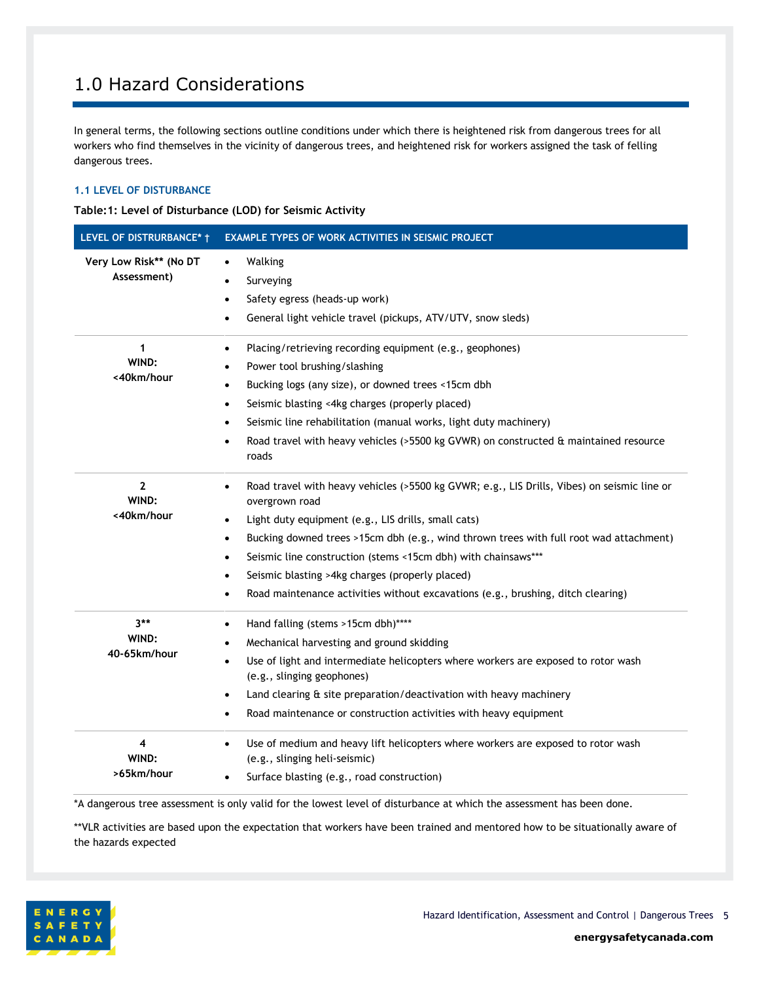### 1.0 Hazard Considerations

In general terms, the following sections outline conditions under which there is heightened risk from dangerous trees for all workers who find themselves in the vicinity of dangerous trees, and heightened risk for workers assigned the task of felling dangerous trees.

#### <span id="page-4-0"></span>**1.1 LEVEL OF DISTURBANCE**

**Table:1: Level of Disturbance (LOD) for Seismic Activity**

| LEVEL OF DISTRURBANCE* †              | <b>EXAMPLE TYPES OF WORK ACTIVITIES IN SEISMIC PROJECT</b>                                                                                                                                                                                                                                                                                                                                                                                                                                                                           |  |
|---------------------------------------|--------------------------------------------------------------------------------------------------------------------------------------------------------------------------------------------------------------------------------------------------------------------------------------------------------------------------------------------------------------------------------------------------------------------------------------------------------------------------------------------------------------------------------------|--|
| Very Low Risk** (No DT<br>Assessment) | Walking<br>$\bullet$<br>Surveying<br>Safety egress (heads-up work)<br>٠<br>General light vehicle travel (pickups, ATV/UTV, snow sleds)                                                                                                                                                                                                                                                                                                                                                                                               |  |
| 1<br>WIND:<br><40km/hour              | Placing/retrieving recording equipment (e.g., geophones)<br>$\bullet$<br>Power tool brushing/slashing<br>Bucking logs (any size), or downed trees <15cm dbh<br>Seismic blasting <4kg charges (properly placed)<br>٠<br>Seismic line rehabilitation (manual works, light duty machinery)<br>$\bullet$<br>Road travel with heavy vehicles (>5500 kg GVWR) on constructed & maintained resource<br>$\bullet$<br>roads                                                                                                                   |  |
| $\mathbf{2}$<br>WIND:<br><40km/hour   | Road travel with heavy vehicles (>5500 kg GVWR; e.g., LIS Drills, Vibes) on seismic line or<br>$\bullet$<br>overgrown road<br>Light duty equipment (e.g., LIS drills, small cats)<br>$\bullet$<br>Bucking downed trees >15cm dbh (e.g., wind thrown trees with full root wad attachment)<br>$\bullet$<br>Seismic line construction (stems <15cm dbh) with chainsaws***<br>$\bullet$<br>Seismic blasting >4kg charges (properly placed)<br>٠<br>Road maintenance activities without excavations (e.g., brushing, ditch clearing)<br>٠ |  |
| $3**$<br>WIND:<br>40-65km/hour        | Hand falling (stems >15cm dbh)****<br>$\bullet$<br>Mechanical harvesting and ground skidding<br>Use of light and intermediate helicopters where workers are exposed to rotor wash<br>$\bullet$<br>(e.g., slinging geophones)<br>Land clearing & site preparation/deactivation with heavy machinery<br>٠<br>Road maintenance or construction activities with heavy equipment<br>٠                                                                                                                                                     |  |
| 4<br>WIND:<br>>65km/hour              | Use of medium and heavy lift helicopters where workers are exposed to rotor wash<br>$\bullet$<br>(e.g., slinging heli-seismic)<br>Surface blasting (e.g., road construction)                                                                                                                                                                                                                                                                                                                                                         |  |

\*A dangerous tree assessment is only valid for the lowest level of disturbance at which the assessment has been done.

\*\*VLR activities are based upon the expectation that workers have been trained and mentored how to be situationally aware of the hazards expected

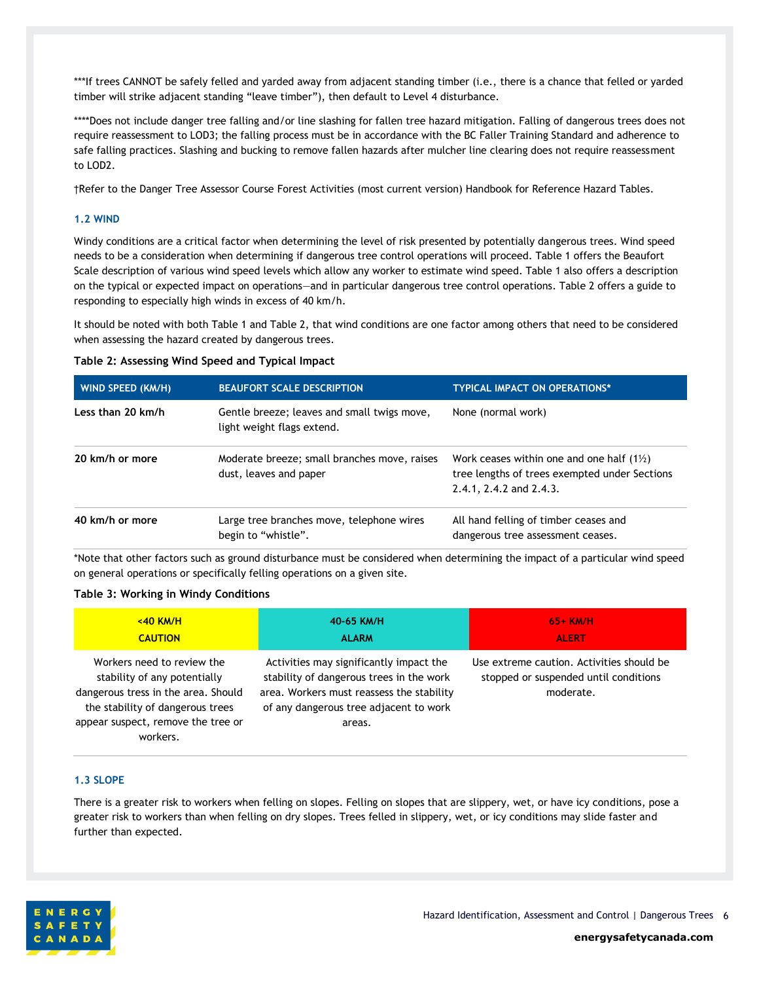\*\*\*If trees CANNOT be safely felled and yarded away from adjacent standing timber (i.e., there is a chance that felled or yarded timber will strike adjacent standing "leave timber"), then default to Level 4 disturbance.

\*\*\*\*Does not include danger tree falling and/or line slashing for fallen tree hazard mitigation. Falling of dangerous trees does not require reassessment to LOD3; the falling process must be in accordance with the BC Faller Training Standard and adherence to safe falling practices. Slashing and bucking to remove fallen hazards after mulcher line clearing does not require reassessment to LOD2.

†Refer to the Danger Tree Assessor Course Forest Activities (most current version) Handbook for Reference Hazard Tables.

#### <span id="page-5-0"></span>**1.2 WIND**

Windy conditions are a critical factor when determining the level of risk presented by potentially dangerous trees. Wind speed needs to be a consideration when determining if dangerous tree control operations will proceed. Table 1 offers the Beaufort Scale description of various wind speed levels which allow any worker to estimate wind speed. Table 1 also offers a description on the typical or expected impact on operations—and in particular dangerous tree control operations. Table 2 offers a guide to responding to especially high winds in excess of 40 km/h.

It should be noted with both Table 1 and Table 2, that wind conditions are one factor among others that need to be considered when assessing the hazard created by dangerous trees.

#### **Table 2: Assessing Wind Speed and Typical Impact**

| <b>WIND SPEED (KM/H)</b> | <b>BEAUFORT SCALE DESCRIPTION</b>                                         | <b>TYPICAL IMPACT ON OPERATIONS*</b>                                                                                                     |
|--------------------------|---------------------------------------------------------------------------|------------------------------------------------------------------------------------------------------------------------------------------|
| Less than 20 km/h        | Gentle breeze; leaves and small twigs move,<br>light weight flags extend. | None (normal work)                                                                                                                       |
| 20 km/h or more          | Moderate breeze; small branches move, raises<br>dust, leaves and paper    | Work ceases within one and one half $(1\frac{1}{2})$<br>tree lengths of trees exempted under Sections<br>$2.4.1$ , $2.4.2$ and $2.4.3$ . |
| 40 km/h or more          | Large tree branches move, telephone wires<br>begin to "whistle".          | All hand felling of timber ceases and<br>dangerous tree assessment ceases.                                                               |

\*Note that other factors such as ground disturbance must be considered when determining the impact of a particular wind speed on general operations or specifically felling operations on a given site.

#### **Table 3: Working in Windy Conditions**

| $<$ 40 KM/H                                                                                                                                                                             | 40-65 KM/H                                                                                                                                                                           | $65+$ KM/H                                                                                      |
|-----------------------------------------------------------------------------------------------------------------------------------------------------------------------------------------|--------------------------------------------------------------------------------------------------------------------------------------------------------------------------------------|-------------------------------------------------------------------------------------------------|
| <b>CAUTION</b>                                                                                                                                                                          | <b>ALARM</b>                                                                                                                                                                         | <b>ALERT</b>                                                                                    |
| Workers need to review the<br>stability of any potentially<br>dangerous tress in the area. Should<br>the stability of dangerous trees<br>appear suspect, remove the tree or<br>workers. | Activities may significantly impact the<br>stability of dangerous trees in the work<br>area. Workers must reassess the stability<br>of any dangerous tree adjacent to work<br>areas. | Use extreme caution. Activities should be<br>stopped or suspended until conditions<br>moderate. |

#### <span id="page-5-1"></span>**1.3 SLOPE**

There is a greater risk to workers when felling on slopes. Felling on slopes that are slippery, wet, or have icy conditions, pose a greater risk to workers than when felling on dry slopes. Trees felled in slippery, wet, or icy conditions may slide faster and further than expected.

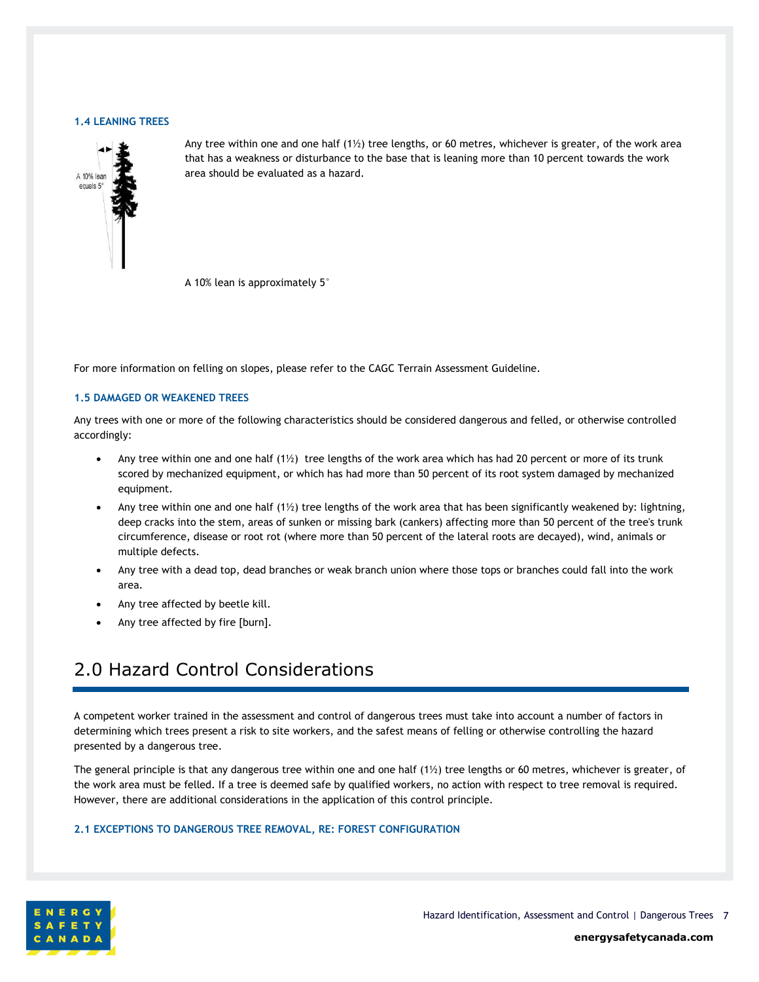#### <span id="page-6-0"></span>**1.4 LEANING TREES**



Any tree within one and one half  $(1\frac{1}{2})$  tree lengths, or 60 metres, whichever is greater, of the work area that has a weakness or disturbance to the base that is leaning more than 10 percent towards the work area should be evaluated as a hazard.

A 10% lean is approximately 5°

For more information on felling on slopes, please refer to the CAGC Terrain Assessment Guideline.

#### <span id="page-6-1"></span>**1.5 DAMAGED OR WEAKENED TREES**

Any trees with one or more of the following characteristics should be considered dangerous and felled, or otherwise controlled accordingly:

- Any tree within one and one half  $(1\frac{1}{2})$  tree lengths of the work area which has had 20 percent or more of its trunk scored by mechanized equipment, or which has had more than 50 percent of its root system damaged by mechanized equipment.
- Any tree within one and one half  $(1\frac{1}{2})$  tree lengths of the work area that has been significantly weakened by: lightning, deep cracks into the stem, areas of sunken or missing bark (cankers) affecting more than 50 percent of the tree's trunk circumference, disease or root rot (where more than 50 percent of the lateral roots are decayed), wind, animals or multiple defects.
- Any tree with a dead top, dead branches or weak branch union where those tops or branches could fall into the work area.
- Any tree affected by beetle kill.
- Any tree affected by fire [burn].

### <span id="page-6-2"></span>2.0 Hazard Control Considerations

A competent worker trained in the assessment and control of dangerous trees must take into account a number of factors in determining which trees present a risk to site workers, and the safest means of felling or otherwise controlling the hazard presented by a dangerous tree.

The general principle is that any dangerous tree within one and one half (1½) tree lengths or 60 metres, whichever is greater, of the work area must be felled. If a tree is deemed safe by qualified workers, no action with respect to tree removal is required. However, there are additional considerations in the application of this control principle.

#### <span id="page-6-3"></span>**2.1 EXCEPTIONS TO DANGEROUS TREE REMOVAL, RE: FOREST CONFIGURATION**



Hazard Identification, Assessment and Control | Dangerous Trees 7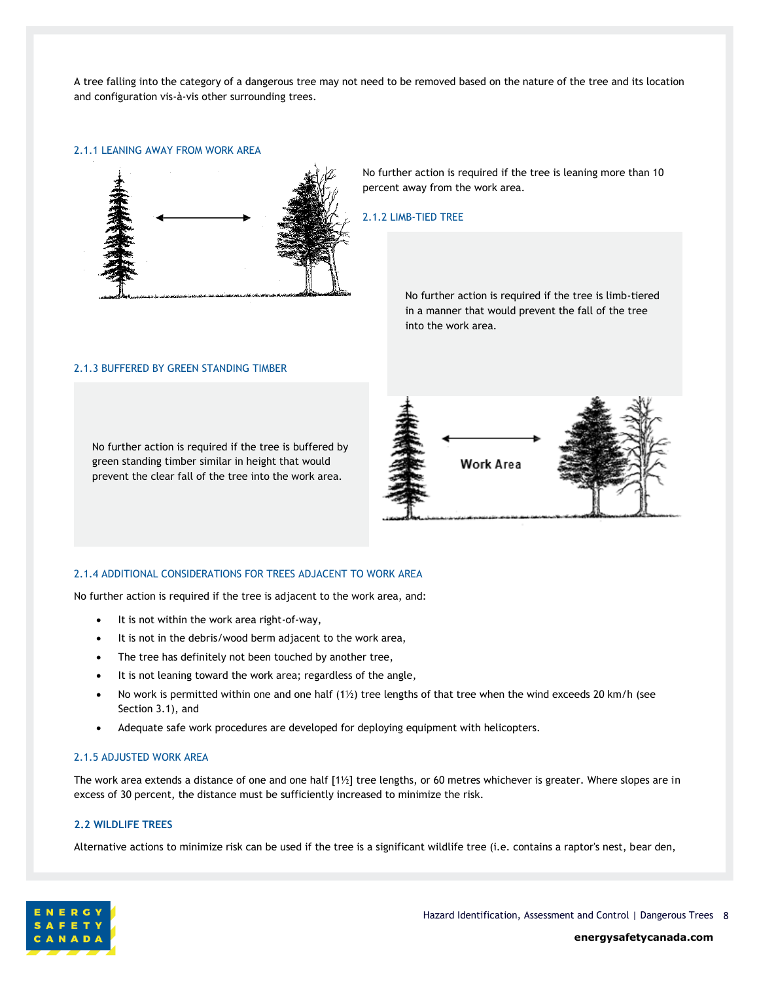A tree falling into the category of a dangerous tree may not need to be removed based on the nature of the tree and its location and configuration vis-à-vis other surrounding trees.

#### <span id="page-7-0"></span>2.1.1 LEANING AWAY FROM WORK AREA



No further action is required if the tree is leaning more than 10 percent away from the work area.

#### <span id="page-7-1"></span>2.1.2 LIMB-TIED TREE

No further action is required if the tree is limb-tiered in a manner that would prevent the fall of the tree into the work area.

#### <span id="page-7-2"></span>2.1.3 BUFFERED BY GREEN STANDING TIMBER

No further action is required if the tree is buffered by green standing timber similar in height that would prevent the clear fall of the tree into the work area.



#### <span id="page-7-3"></span>2.1.4 ADDITIONAL CONSIDERATIONS FOR TREES ADJACENT TO WORK AREA

No further action is required if the tree is adjacent to the work area, and:

- It is not within the work area right-of-way,
- It is not in the debris/wood berm adjacent to the work area,
- The tree has definitely not been touched by another tree,
- It is not leaning toward the work area; regardless of the angle,
- No work is permitted within one and one half (1½) tree lengths of that tree when the wind exceeds 20 km/h (see Section 3.1), and
- Adequate safe work procedures are developed for deploying equipment with helicopters.

#### <span id="page-7-4"></span>2.1.5 ADJUSTED WORK AREA

The work area extends a distance of one and one half [1½] tree lengths, or 60 metres whichever is greater. Where slopes are in excess of 30 percent, the distance must be sufficiently increased to minimize the risk.

#### <span id="page-7-5"></span>**2.2 WILDLIFE TREES**

Alternative actions to minimize risk can be used if the tree is a significant wildlife tree (i.e. contains a raptor's nest, bear den,

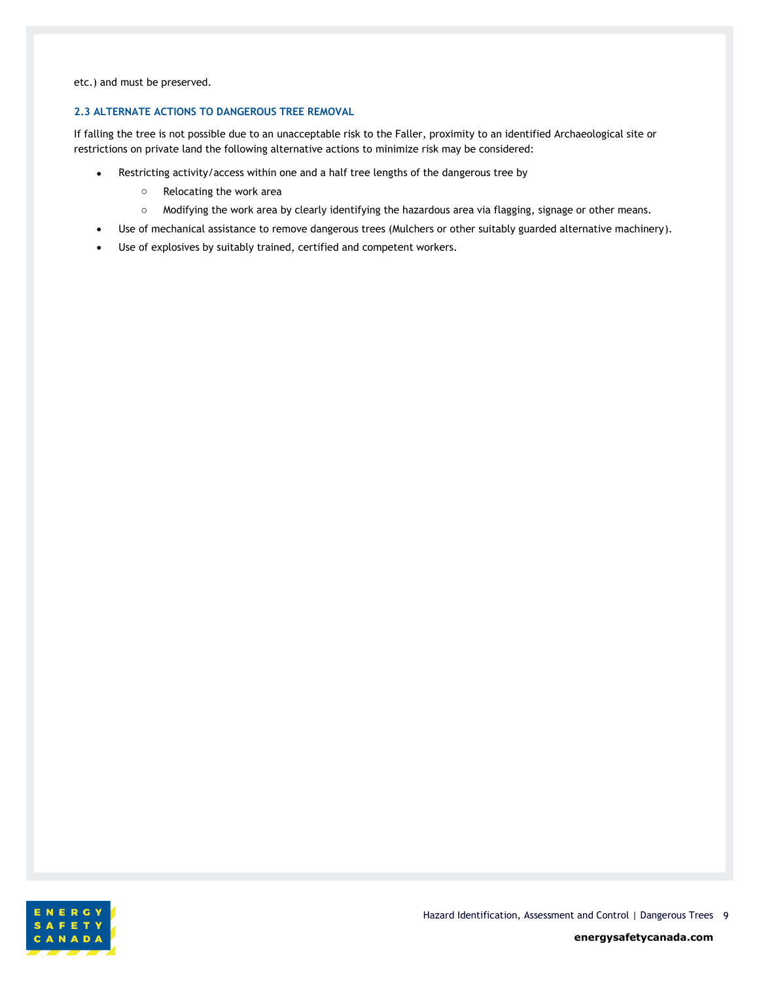etc.) and must be preserved.

#### <span id="page-8-0"></span>**2.3 ALTERNATE ACTIONS TO DANGEROUS TREE REMOVAL**

If falling the tree is not possible due to an unacceptable risk to the Faller, proximity to an identified Archaeological site or restrictions on private land the following alternative actions to minimize risk may be considered:

- Restricting activity/access within one and a half tree lengths of the dangerous tree by
	- o Relocating the work area
	- o Modifying the work area by clearly identifying the hazardous area via flagging, signage or other means.
- Use of mechanical assistance to remove dangerous trees (Mulchers or other suitably guarded alternative machinery).
- Use of explosives by suitably trained, certified and competent workers.

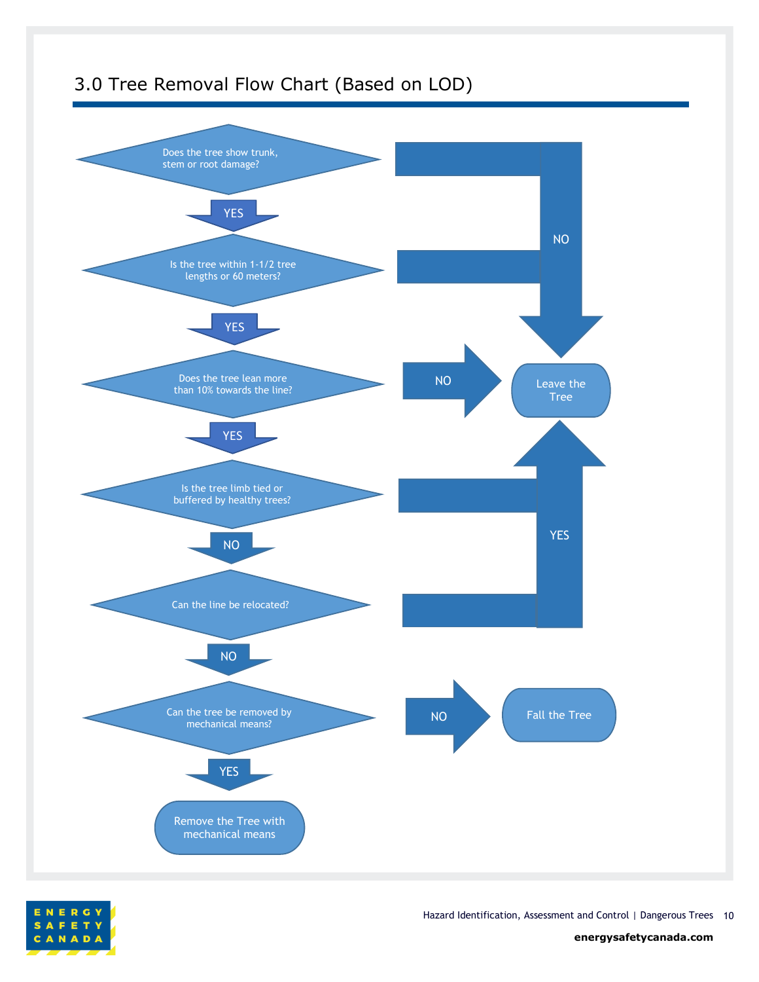<span id="page-9-0"></span>